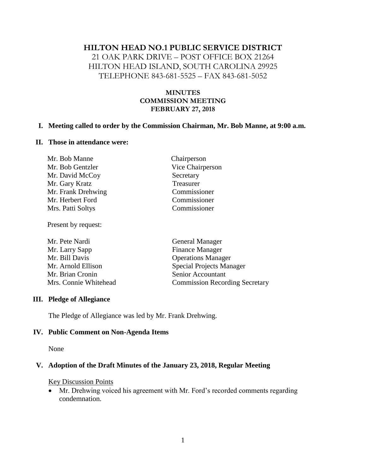### **HILTON HEAD NO.1 PUBLIC SERVICE DISTRICT**

21 OAK PARK DRIVE – POST OFFICE BOX 21264 HILTON HEAD ISLAND, SOUTH CAROLINA 29925 TELEPHONE 843-681-5525 – FAX 843-681-5052

### **MINUTES COMMISSION MEETING FEBRUARY 27, 2018**

### **I. Meeting called to order by the Commission Chairman, Mr. Bob Manne, at 9:00 a.m.**

#### **II. Those in attendance were:**

| Chairperson      |
|------------------|
| Vice Chairperson |
| Secretary        |
| Treasurer        |
| Commissioner     |
| Commissioner     |
| Commissioner     |
|                  |

Present by request:

| <b>General Manager</b>                |
|---------------------------------------|
| <b>Finance Manager</b>                |
| <b>Operations Manager</b>             |
| <b>Special Projects Manager</b>       |
| Senior Accountant                     |
| <b>Commission Recording Secretary</b> |
|                                       |

### **III. Pledge of Allegiance**

The Pledge of Allegiance was led by Mr. Frank Drehwing.

#### **IV. Public Comment on Non-Agenda Items**

None

### **V. Adoption of the Draft Minutes of the January 23, 2018, Regular Meeting**

#### Key Discussion Points

• Mr. Drehwing voiced his agreement with Mr. Ford's recorded comments regarding condemnation.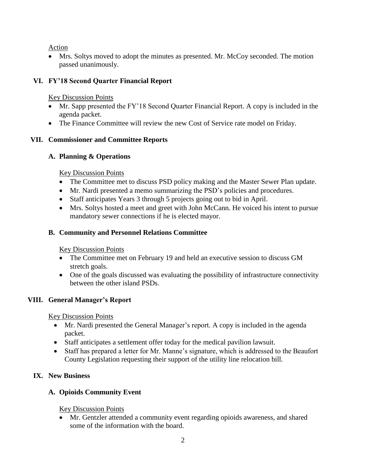Action

Mrs. Soltys moved to adopt the minutes as presented. Mr. McCoy seconded. The motion passed unanimously.

## **VI. FY'18 Second Quarter Financial Report**

Key Discussion Points

- Mr. Sapp presented the FY'18 Second Quarter Financial Report. A copy is included in the agenda packet.
- The Finance Committee will review the new Cost of Service rate model on Friday.

## **VII. Commissioner and Committee Reports**

## **A. Planning & Operations**

Key Discussion Points

- The Committee met to discuss PSD policy making and the Master Sewer Plan update.
- Mr. Nardi presented a memo summarizing the PSD's policies and procedures.
- Staff anticipates Years 3 through 5 projects going out to bid in April.
- Mrs. Soltys hosted a meet and greet with John McCann. He voiced his intent to pursue mandatory sewer connections if he is elected mayor.

## **B. Community and Personnel Relations Committee**

Key Discussion Points

- The Committee met on February 19 and held an executive session to discuss GM stretch goals.
- One of the goals discussed was evaluating the possibility of infrastructure connectivity between the other island PSDs.

# **VIII. General Manager's Report**

Key Discussion Points

- Mr. Nardi presented the General Manager's report. A copy is included in the agenda packet.
- Staff anticipates a settlement offer today for the medical pavilion lawsuit.
- Staff has prepared a letter for Mr. Manne's signature, which is addressed to the Beaufort County Legislation requesting their support of the utility line relocation bill.

# **IX. New Business**

# **A. Opioids Community Event**

Key Discussion Points

• Mr. Gentzler attended a community event regarding opioids awareness, and shared some of the information with the board.